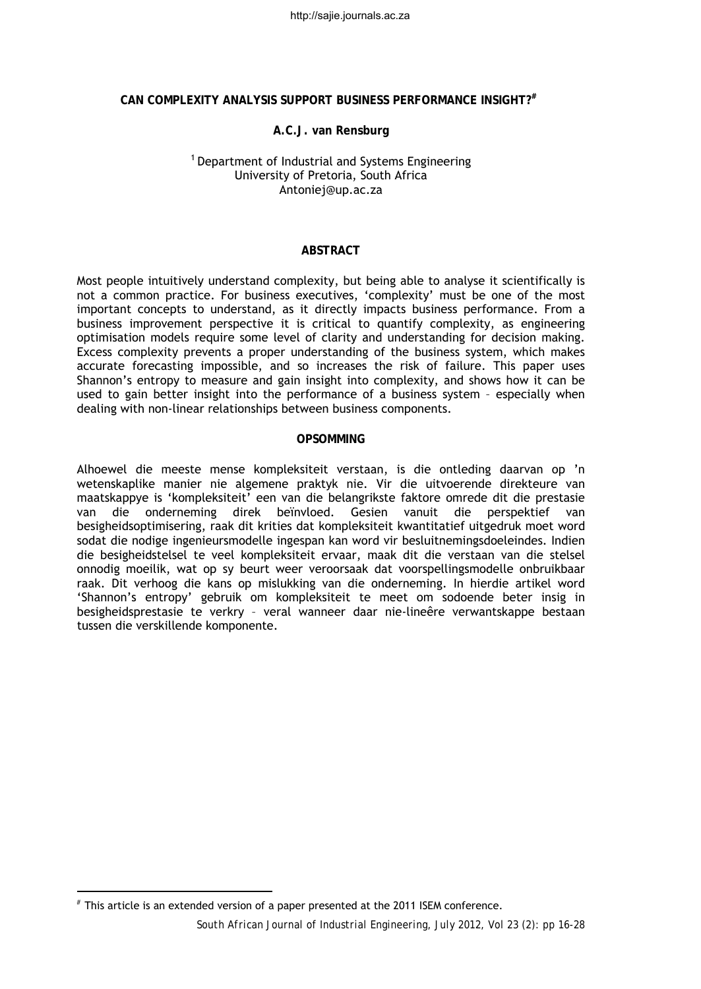http://sajie.journals.ac.za

# **CAN COMPLEXITY ANALYSIS SUPPORT BUSINESS PERFORMANCE INSIGHT?#[1](#page-0-0)**

### **A.C.J. van Rensburg**

# <sup>1</sup> Department of Industrial and Systems Engineering University of Pretoria, South Africa [Antoniej@up.ac.za](mailto:Antoniej@up.ac.za)

#### **ABSTRACT**

Most people intuitively understand complexity, but being able to analyse it scientifically is not a common practice. For business executives, 'complexity' must be one of the most important concepts to understand, as it directly impacts business performance. From a business improvement perspective it is critical to quantify complexity, as engineering optimisation models require some level of clarity and understanding for decision making. Excess complexity prevents a proper understanding of the business system, which makes accurate forecasting impossible, and so increases the risk of failure. This paper uses Shannon's entropy to measure and gain insight into complexity, and shows how it can be used to gain better insight into the performance of a business system – especially when dealing with non-linear relationships between business components.

#### **OPSOMMING**

Alhoewel die meeste mense kompleksiteit verstaan, is die ontleding daarvan op 'n wetenskaplike manier nie algemene praktyk nie. Vir die uitvoerende direkteure van maatskappye is 'kompleksiteit' een van die belangrikste faktore omrede dit die prestasie van die onderneming direk beïnvloed. Gesien vanuit die perspektief van besigheidsoptimisering, raak dit krities dat kompleksiteit kwantitatief uitgedruk moet word sodat die nodige ingenieursmodelle ingespan kan word vir besluitnemingsdoeleindes. Indien die besigheidstelsel te veel kompleksiteit ervaar, maak dit die verstaan van die stelsel onnodig moeilik, wat op sy beurt weer veroorsaak dat voorspellingsmodelle onbruikbaar raak. Dit verhoog die kans op mislukking van die onderneming. In hierdie artikel word 'Shannon's entropy' gebruik om kompleksiteit te meet om sodoende beter insig in besigheidsprestasie te verkry – veral wanneer daar nie-lineêre verwantskappe bestaan tussen die verskillende komponente.

 $\overline{a}$ 

<span id="page-0-0"></span><sup>#</sup> This article is an extended version of a paper presented at the 2011 ISEM conference.

*South African Journal of Industrial Engineering, July 2012, Vol 23 (2): pp 16-28*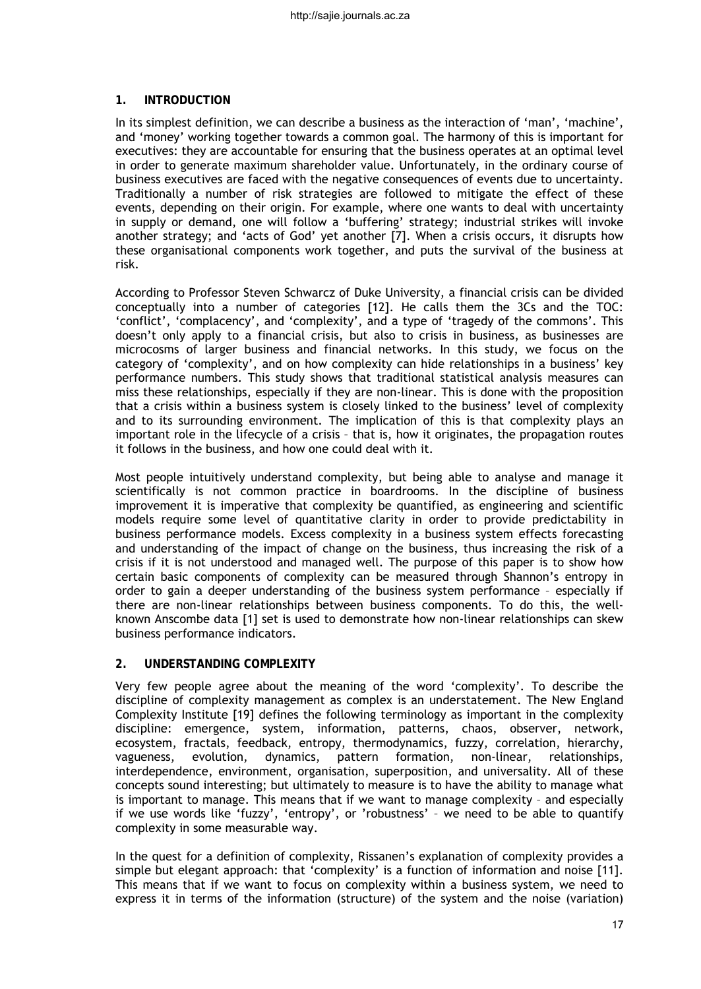# **1. INTRODUCTION**

In its simplest definition, we can describe a business as the interaction of 'man', 'machine', and 'money' working together towards a common goal. The harmony of this is important for executives: they are accountable for ensuring that the business operates at an optimal level in order to generate maximum shareholder value. Unfortunately, in the ordinary course of business executives are faced with the negative consequences of events due to uncertainty. Traditionally a number of risk strategies are followed to mitigate the effect of these events, depending on their origin. For example, where one wants to deal with uncertainty in supply or demand, one will follow a 'buffering' strategy; industrial strikes will invoke another strategy; and 'acts of God' yet another [7]. When a crisis occurs, it disrupts how these organisational components work together, and puts the survival of the business at risk.

According to Professor Steven Schwarcz of Duke University, a financial crisis can be divided conceptually into a number of categories [12]. He calls them the 3Cs and the TOC: 'conflict', 'complacency', and 'complexity', and a type of 'tragedy of the commons'. This doesn't only apply to a financial crisis, but also to crisis in business, as businesses are microcosms of larger business and financial networks. In this study, we focus on the category of 'complexity', and on how complexity can hide relationships in a business' key performance numbers. This study shows that traditional statistical analysis measures can miss these relationships, especially if they are non-linear. This is done with the proposition that a crisis within a business system is closely linked to the business' level of complexity and to its surrounding environment. The implication of this is that complexity plays an important role in the lifecycle of a crisis – that is, how it originates, the propagation routes it follows in the business, and how one could deal with it.

Most people intuitively understand complexity, but being able to analyse and manage it scientifically is not common practice in boardrooms. In the discipline of business improvement it is imperative that complexity be quantified, as engineering and scientific models require some level of quantitative clarity in order to provide predictability in business performance models. Excess complexity in a business system effects forecasting and understanding of the impact of change on the business, thus increasing the risk of a crisis if it is not understood and managed well. The purpose of this paper is to show how certain basic components of complexity can be measured through Shannon's entropy in order to gain a deeper understanding of the business system performance – especially if there are non-linear relationships between business components. To do this, the wellknown Anscombe data [1] set is used to demonstrate how non-linear relationships can skew business performance indicators.

## **2. UNDERSTANDING COMPLEXITY**

Very few people agree about the meaning of the word 'complexity'. To describe the discipline of complexity management as complex is an understatement. The New England Complexity Institute [19] defines the following terminology as important in the complexity discipline: emergence, system, information, patterns, chaos, observer, network, ecosystem, fractals, feedback, entropy, thermodynamics, fuzzy, correlation, hierarchy, vagueness, evolution, dynamics, pattern formation, non-linear, relationships, interdependence, environment, organisation, superposition, and universality. All of these concepts sound interesting; but ultimately to measure is to have the ability to manage what is important to manage. This means that if we want to manage complexity – and especially if we use words like 'fuzzy', 'entropy', or 'robustness' – we need to be able to quantify complexity in some measurable way.

In the quest for a definition of complexity, Rissanen's explanation of complexity provides a simple but elegant approach: that 'complexity' is a function of information and noise [11]. This means that if we want to focus on complexity within a business system, we need to express it in terms of the information (structure) of the system and the noise (variation)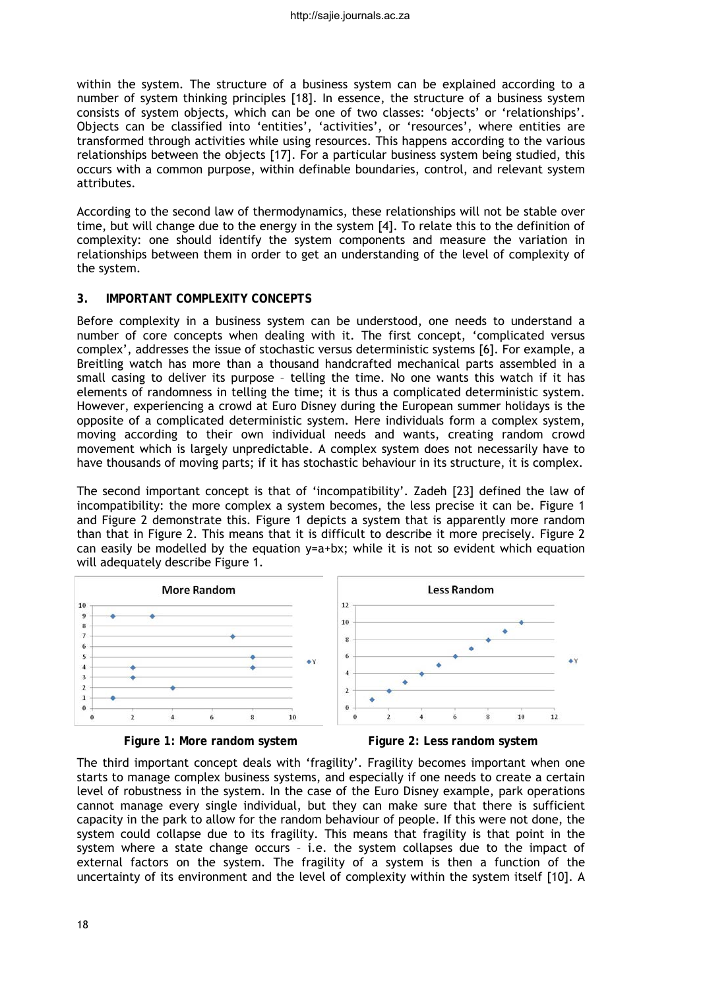within the system. The structure of a business system can be explained according to a number of system thinking principles [18]. In essence, the structure of a business system consists of system objects, which can be one of two classes: 'objects' or 'relationships'. Objects can be classified into 'entities', 'activities', or 'resources', where entities are transformed through activities while using resources. This happens according to the various relationships between the objects [17]. For a particular business system being studied, this occurs with a common purpose, within definable boundaries, control, and relevant system attributes.

According to the second law of thermodynamics, these relationships will not be stable over time, but will change due to the energy in the system [4]. To relate this to the definition of complexity: one should identify the system components and measure the variation in relationships between them in order to get an understanding of the level of complexity of the system.

# **3. IMPORTANT COMPLEXITY CONCEPTS**

Before complexity in a business system can be understood, one needs to understand a number of core concepts when dealing with it. The first concept, 'complicated versus complex', addresses the issue of stochastic versus deterministic systems [6]. For example, a Breitling watch has more than a thousand handcrafted mechanical parts assembled in a small casing to deliver its purpose – telling the time. No one wants this watch if it has elements of randomness in telling the time; it is thus a complicated deterministic system. However, experiencing a crowd at Euro Disney during the European summer holidays is the opposite of a complicated deterministic system. Here individuals form a complex system, moving according to their own individual needs and wants, creating random crowd movement which is largely unpredictable. A complex system does not necessarily have to have thousands of moving parts; if it has stochastic behaviour in its structure, it is complex.

The second important concept is that of 'incompatibility'. Zadeh [23] defined the law of incompatibility: the more complex a system becomes, the less precise it can be. Figure 1 and Figure 2 demonstrate this. Figure 1 depicts a system that is apparently more random than that in Figure 2. This means that it is difficult to describe it more precisely. Figure 2 can easily be modelled by the equation  $y=a+bx$ ; while it is not so evident which equation will adequately describe Figure 1.



Figure 1: More random system Figure 2: Less random system

The third important concept deals with 'fragility'. Fragility becomes important when one starts to manage complex business systems, and especially if one needs to create a certain level of robustness in the system. In the case of the Euro Disney example, park operations cannot manage every single individual, but they can make sure that there is sufficient capacity in the park to allow for the random behaviour of people. If this were not done, the system could collapse due to its fragility. This means that fragility is that point in the system where a state change occurs – i.e. the system collapses due to the impact of external factors on the system. The fragility of a system is then a function of the uncertainty of its environment and the level of complexity within the system itself [10]. A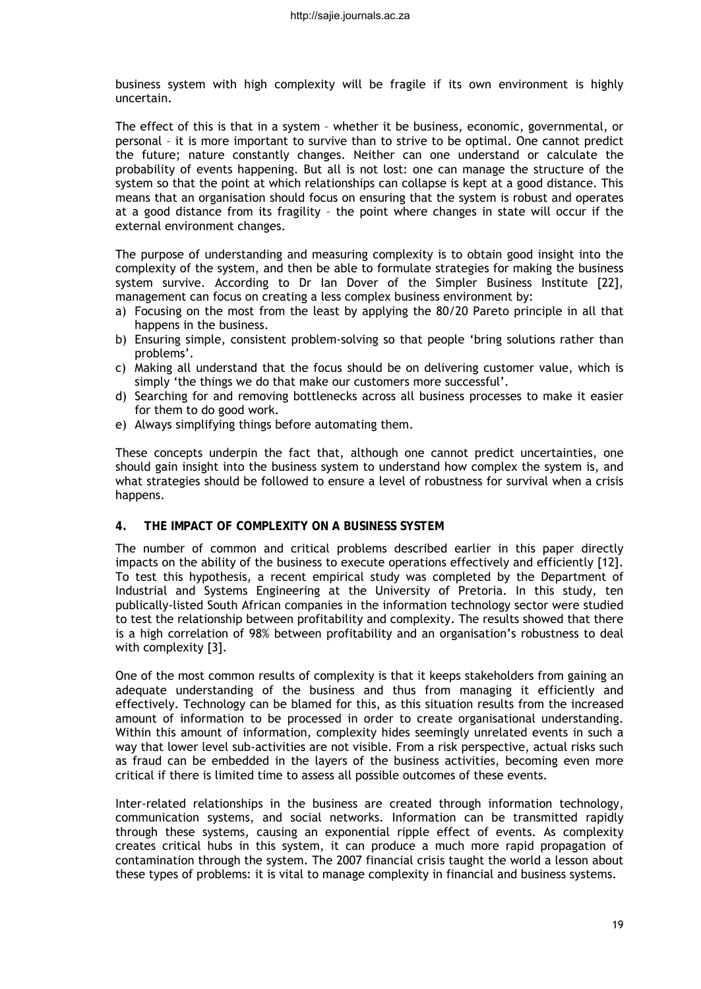business system with high complexity will be fragile if its own environment is highly uncertain.

The effect of this is that in a system – whether it be business, economic, governmental, or personal – it is more important to survive than to strive to be optimal. One cannot predict the future; nature constantly changes. Neither can one understand or calculate the probability of events happening. But all is not lost: one can manage the structure of the system so that the point at which relationships can collapse is kept at a good distance. This means that an organisation should focus on ensuring that the system is robust and operates at a good distance from its fragility – the point where changes in state will occur if the external environment changes.

The purpose of understanding and measuring complexity is to obtain good insight into the complexity of the system, and then be able to formulate strategies for making the business system survive. According to Dr Ian Dover of the Simpler Business Institute [22], management can focus on creating a less complex business environment by:

- a) Focusing on the most from the least by applying the 80/20 Pareto principle in all that happens in the business.
- b) Ensuring simple, consistent problem-solving so that people 'bring solutions rather than problems'.
- c) Making all understand that the focus should be on delivering customer value, which is simply 'the things we do that make our customers more successful'.
- d) Searching for and removing bottlenecks across all business processes to make it easier for them to do good work.
- e) Always simplifying things before automating them.

These concepts underpin the fact that, although one cannot predict uncertainties, one should gain insight into the business system to understand how complex the system is, and what strategies should be followed to ensure a level of robustness for survival when a crisis happens.

#### **4. THE IMPACT OF COMPLEXITY ON A BUSINESS SYSTEM**

The number of common and critical problems described earlier in this paper directly impacts on the ability of the business to execute operations effectively and efficiently [12]. To test this hypothesis, a recent empirical study was completed by the Department of Industrial and Systems Engineering at the University of Pretoria. In this study, ten publically-listed South African companies in the information technology sector were studied to test the relationship between profitability and complexity. The results showed that there is a high correlation of 98% between profitability and an organisation's robustness to deal with complexity [3].

One of the most common results of complexity is that it keeps stakeholders from gaining an adequate understanding of the business and thus from managing it efficiently and effectively. Technology can be blamed for this, as this situation results from the increased amount of information to be processed in order to create organisational understanding. Within this amount of information, complexity hides seemingly unrelated events in such a way that lower level sub-activities are not visible. From a risk perspective, actual risks such as fraud can be embedded in the layers of the business activities, becoming even more critical if there is limited time to assess all possible outcomes of these events.

Inter-related relationships in the business are created through information technology, communication systems, and social networks. Information can be transmitted rapidly through these systems, causing an exponential ripple effect of events. As complexity creates critical hubs in this system, it can produce a much more rapid propagation of contamination through the system. The 2007 financial crisis taught the world a lesson about these types of problems: it is vital to manage complexity in financial and business systems.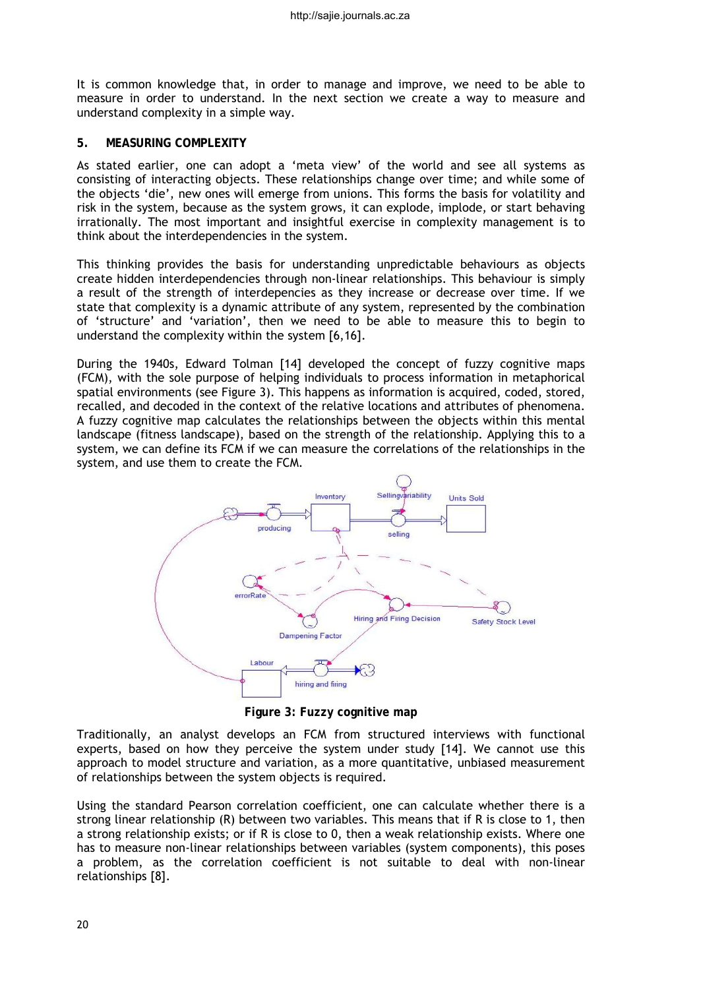It is common knowledge that, in order to manage and improve, we need to be able to measure in order to understand. In the next section we create a way to measure and understand complexity in a simple way.

## **5. MEASURING COMPLEXITY**

As stated earlier, one can adopt a 'meta view' of the world and see all systems as consisting of interacting objects. These relationships change over time; and while some of the objects 'die', new ones will emerge from unions. This forms the basis for volatility and risk in the system, because as the system grows, it can explode, implode, or start behaving irrationally. The most important and insightful exercise in complexity management is to think about the interdependencies in the system.

This thinking provides the basis for understanding unpredictable behaviours as objects create hidden interdependencies through non-linear relationships. This behaviour is simply a result of the strength of interdepencies as they increase or decrease over time. If we state that complexity is a dynamic attribute of any system, represented by the combination of 'structure' and 'variation', then we need to be able to measure this to begin to understand the complexity within the system [6,16].

During the 1940s, Edward Tolman [14] developed the concept of fuzzy cognitive maps (FCM), with the sole purpose of helping individuals to process information in metaphorical spatial environments (see Figure 3). This happens as information is acquired, coded, stored, recalled, and decoded in the context of the relative locations and attributes of phenomena. A fuzzy cognitive map calculates the relationships between the objects within this mental landscape (fitness landscape), based on the strength of the relationship. Applying this to a system, we can define its FCM if we can measure the correlations of the relationships in the system, and use them to create the FCM.



**Figure 3: Fuzzy cognitive map**

Traditionally, an analyst develops an FCM from structured interviews with functional experts, based on how they perceive the system under study [14]. We cannot use this approach to model structure and variation, as a more quantitative, unbiased measurement of relationships between the system objects is required.

Using the standard Pearson correlation coefficient, one can calculate whether there is a strong linear relationship (R) between two variables. This means that if R is close to 1, then a strong relationship exists; or if R is close to 0, then a weak relationship exists. Where one has to measure non-linear relationships between variables (system components), this poses a problem, as the correlation coefficient is not suitable to deal with non-linear relationships [8].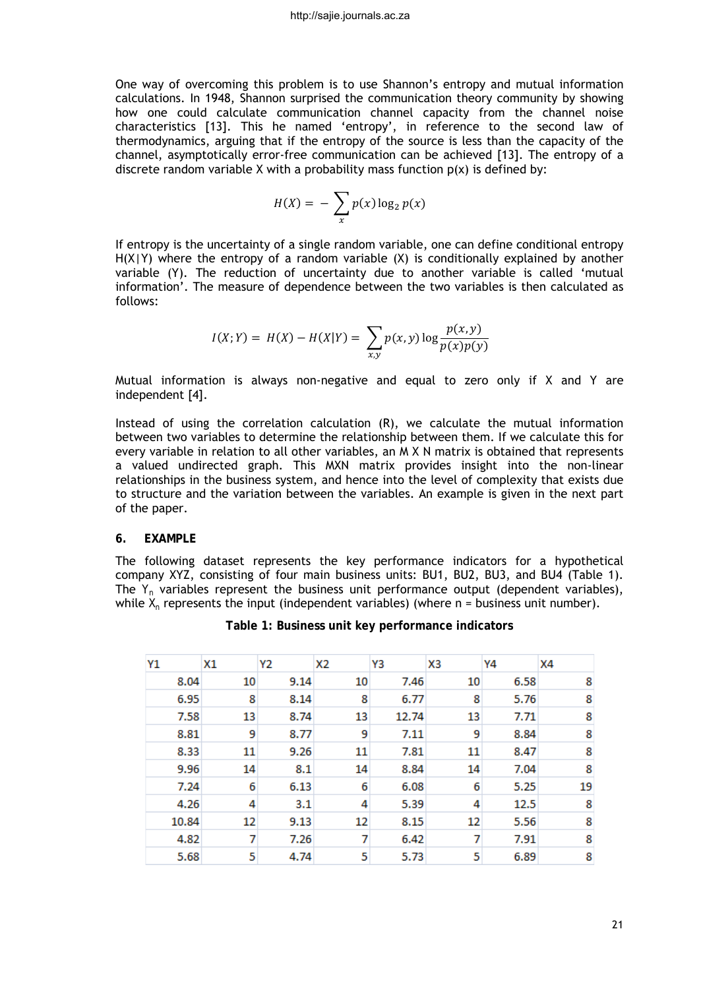One way of overcoming this problem is to use Shannon's entropy and mutual information calculations. In 1948, Shannon surprised the communication theory community by showing how one could calculate communication channel capacity from the channel noise characteristics [13]. This he named 'entropy', in reference to the second law of thermodynamics, arguing that if the entropy of the source is less than the capacity of the channel, asymptotically error-free communication can be achieved [13]. The entropy of a discrete random variable X with a probability mass function  $p(x)$  is defined by:

$$
H(X) = -\sum_{x} p(x) \log_2 p(x)
$$

If entropy is the uncertainty of a single random variable, one can define conditional entropy  $H(X|Y)$  where the entropy of a random variable  $(X)$  is conditionally explained by another variable (Y). The reduction of uncertainty due to another variable is called 'mutual information'. The measure of dependence between the two variables is then calculated as follows:

$$
I(X;Y) = H(X) - H(X|Y) = \sum_{x,y} p(x,y) \log \frac{p(x,y)}{p(x)p(y)}
$$

Mutual information is always non-negative and equal to zero only if X and Y are independent [4].

Instead of using the correlation calculation (R), we calculate the mutual information between two variables to determine the relationship between them. If we calculate this for every variable in relation to all other variables, an M X N matrix is obtained that represents a valued undirected graph. This MXN matrix provides insight into the non-linear relationships in the business system, and hence into the level of complexity that exists due to structure and the variation between the variables. An example is given in the next part of the paper.

#### **6. EXAMPLE**

The following dataset represents the key performance indicators for a hypothetical company XYZ, consisting of four main business units: BU1, BU2, BU3, and BU4 (Table 1). The *Yn* variables represent the business unit performance output (dependent variables), while  $X_n$  represents the input (independent variables) (where  $n =$  business unit number).

| Y1    | X1 | Υ2   | X2 | Y3    | X3 | Y4   | X4 |
|-------|----|------|----|-------|----|------|----|
| 8.04  | 10 | 9.14 | 10 | 7.46  | 10 | 6.58 | 8  |
| 6.95  | 8  | 8.14 | 8  | 6.77  | 8  | 5.76 | 8  |
| 7.58  | 13 | 8.74 | 13 | 12.74 | 13 | 7.71 | 8  |
| 8.81  | 9  | 8.77 | 9  | 7.11  | 9  | 8.84 | 8  |
| 8.33  | 11 | 9.26 | 11 | 7.81  | 11 | 8.47 | 8  |
| 9.96  | 14 | 8.1  | 14 | 8.84  | 14 | 7.04 | 8  |
| 7.24  | 6  | 6.13 | 6  | 6.08  | 6  | 5.25 | 19 |
| 4.26  | 4  | 3.1  | 4  | 5.39  | 4  | 12.5 | 8  |
| 10.84 | 12 | 9.13 | 12 | 8.15  | 12 | 5.56 | 8  |
| 4.82  | 7  | 7.26 | 7  | 6.42  | 7  | 7.91 | 8  |
| 5.68  | 5  | 4.74 | 5  | 5.73  | 5  | 6.89 | 8  |

|  |  |  | Table 1: Business unit key performance indicators |  |
|--|--|--|---------------------------------------------------|--|
|--|--|--|---------------------------------------------------|--|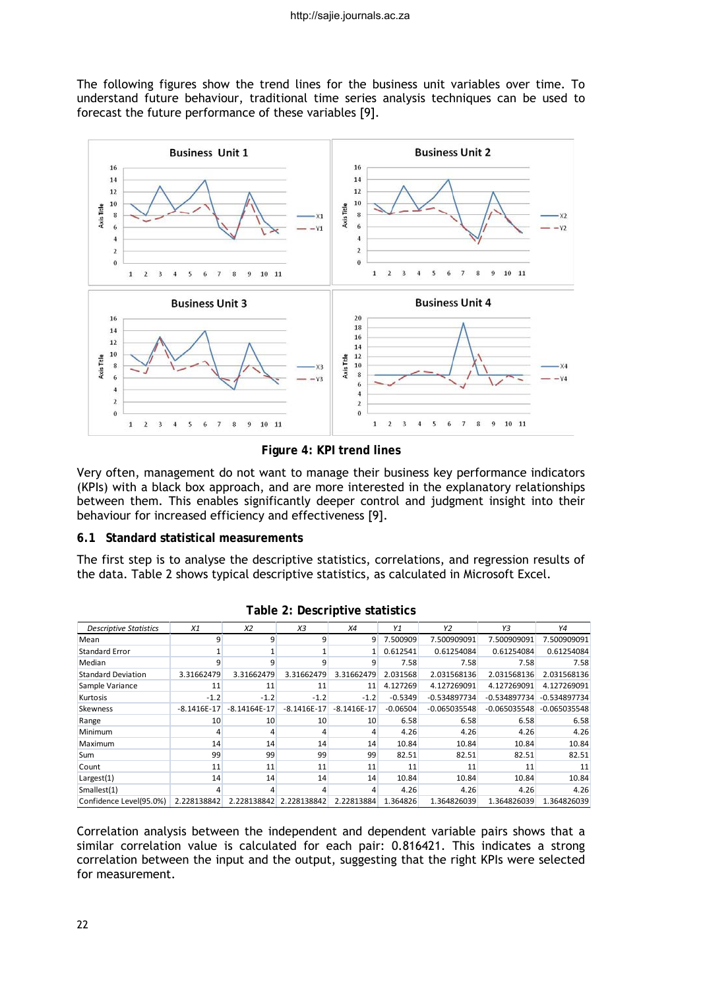The following figures show the trend lines for the business unit variables over time. To understand future behaviour, traditional time series analysis techniques can be used to forecast the future performance of these variables [9].



**Figure 4: KPI trend lines**

Very often, management do not want to manage their business key performance indicators (KPIs) with a black box approach, and are more interested in the explanatory relationships between them. This enables significantly deeper control and judgment insight into their behaviour for increased efficiency and effectiveness [9].

## **6.1 Standard statistical measurements**

The first step is to analyse the descriptive statistics, correlations, and regression results of the data. Table 2 shows typical descriptive statistics, as calculated in Microsoft Excel.

| <b>Descriptive Statistics</b> | X1            | X <sub>2</sub> | X3            | X4            | Y1         | Y2             | Y3             | Y4             |
|-------------------------------|---------------|----------------|---------------|---------------|------------|----------------|----------------|----------------|
| Mean                          | 9             | 9              | 9             | 9             | 7.500909   | 7.500909091    | 7.500909091    | 7.500909091    |
| <b>Standard Error</b>         |               |                |               |               | 0.612541   | 0.61254084     | 0.61254084     | 0.61254084     |
| Median                        | 9             | 9              | 9             | 9             | 7.58       | 7.58           | 7.58           | 7.58           |
| <b>Standard Deviation</b>     | 3.31662479    | 3.31662479     | 3.31662479    | 3.31662479    | 2.031568   | 2.031568136    | 2.031568136    | 2.031568136    |
| Sample Variance               | 11            | 11             | 11            | 11            | 4.127269   | 4.127269091    | 4.127269091    | 4.127269091    |
| Kurtosis                      | $-1.2$        | $-1.2$         | $-1.2$        | $-1.2$        | $-0.5349$  | $-0.534897734$ | $-0.534897734$ | $-0.534897734$ |
| Skewness                      | $-8.1416E-17$ | $-8.14164E-17$ | $-8.1416E-17$ | $-8.1416E-17$ | $-0.06504$ | $-0.065035548$ | $-0.065035548$ | $-0.065035548$ |
| Range                         | 10            | 10             | 10            | 10            | 6.58       | 6.58           | 6.58           | 6.58           |
| <b>Minimum</b>                | 4             | 4              | 4             | 4             | 4.26       | 4.26           | 4.26           | 4.26           |
| Maximum                       | 14            | 14             | 14            | 14            | 10.84      | 10.84          | 10.84          | 10.84          |
| <b>Sum</b>                    | 99            | 99             | 99            | 99            | 82.51      | 82.51          | 82.51          | 82.51          |
| Count                         | 11            | 11             | 11            | 11            | 11         | 11             | 11             | 11             |
| Largest(1)                    | 14            | 14             | 14            | 14            | 10.84      | 10.84          | 10.84          | 10.84          |
| Smallest(1)                   | 4             | 4              | 4             | Δ             | 4.26       | 4.26           | 4.26           | 4.26           |
| Confidence Level(95.0%)       | 2.228138842   | 2.228138842    | 2.228138842   | 2.22813884    | 1.364826   | 1.364826039    | 1.364826039    | 1.364826039    |

**Table 2: Descriptive statistics**

Correlation analysis between the independent and dependent variable pairs shows that a similar correlation value is calculated for each pair: 0.816421. This indicates a strong correlation between the input and the output, suggesting that the right KPIs were selected for measurement.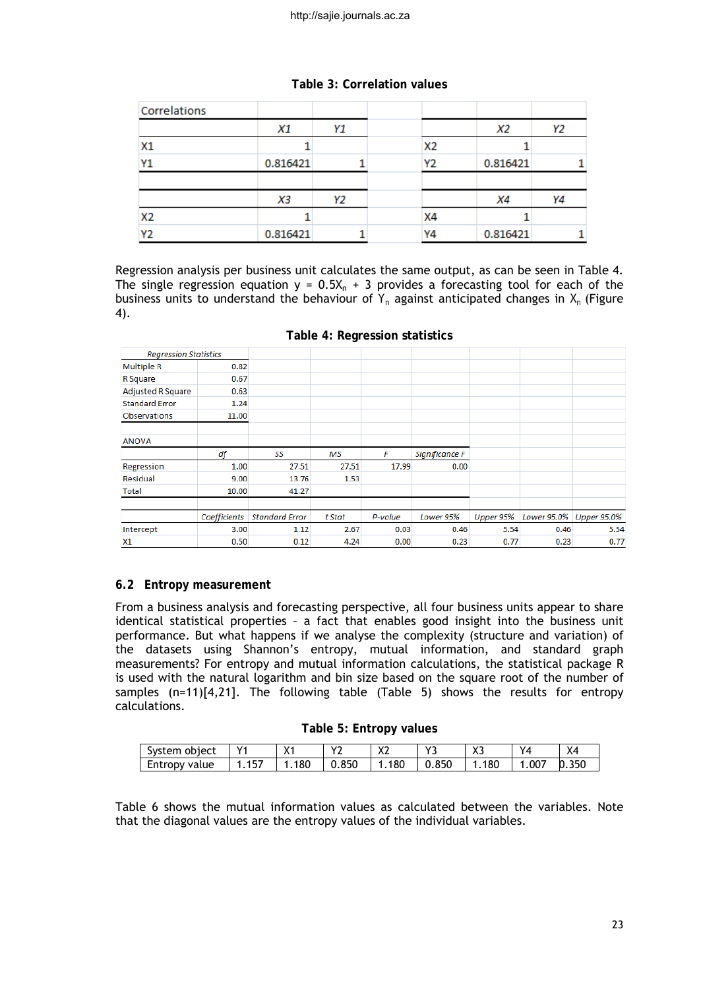| Table 3: Correlation values |  |  |  |  |
|-----------------------------|--|--|--|--|
|-----------------------------|--|--|--|--|

| Correlations   |          |    |                |          |    |
|----------------|----------|----|----------------|----------|----|
|                | X1       | Υ1 |                | X2       | Υ2 |
| <b>X1</b>      |          |    | X <sub>2</sub> |          |    |
| Y1             | 0.816421 |    | Y <sub>2</sub> | 0.816421 |    |
|                |          |    |                |          |    |
|                | XЗ       | Υ2 |                | Χ4       | Y4 |
| X <sub>2</sub> |          |    | X4             |          |    |
| Y <sub>2</sub> | 0.816421 |    | Y4             | 0.816421 |    |

Regression analysis per business unit calculates the same output, as can be seen in Table 4. The single regression equation  $y = 0.5X_n + 3$  provides a forecasting tool for each of the business units to understand the behaviour of  $Y_n$  against anticipated changes in  $X_n$  (Figure 4).

| <b>Regression Statistics</b> |              |                       |           |         |                       |           |      |                         |
|------------------------------|--------------|-----------------------|-----------|---------|-----------------------|-----------|------|-------------------------|
| <b>Multiple R</b>            | 0.82         |                       |           |         |                       |           |      |                         |
| R Square                     | 0.67         |                       |           |         |                       |           |      |                         |
| <b>Adjusted R Square</b>     | 0.63         |                       |           |         |                       |           |      |                         |
| <b>Standard Error</b>        | 1.24         |                       |           |         |                       |           |      |                         |
| <b>Observations</b>          | 11.00        |                       |           |         |                       |           |      |                         |
| <b>ANOVA</b>                 |              |                       |           |         |                       |           |      |                         |
|                              | df           | SS                    | <b>MS</b> | F       | <b>Significance F</b> |           |      |                         |
| Regression                   | 1.00         | 27.51                 | 27.51     | 17.99   | 0.00                  |           |      |                         |
| Residual                     | 9.00         | 13.76                 | 1.53      |         |                       |           |      |                         |
| <b>Total</b>                 | 10.00        | 41.27                 |           |         |                       |           |      |                         |
|                              | Coefficients | <b>Standard Error</b> | t Stat    | P-value | Lower 95%             | Upper 95% |      | Lower 95.0% Upper 95.0% |
| Intercept                    | 3.00         | 1.12                  | 2.67      | 0.03    | 0.46                  | 5.54      | 0.46 | 5.54                    |
| <b>X1</b>                    | 0.50         | 0.12                  | 4.24      | 0.00    | 0.23                  | 0.77      | 0.23 | 0.77                    |

## **6.2 Entropy measurement**

From a business analysis and forecasting perspective, all four business units appear to share identical statistical properties – a fact that enables good insight into the business unit performance. But what happens if we analyse the complexity (structure and variation) of the datasets using Shannon's entropy, mutual information, and standard graph measurements? For entropy and mutual information calculations, the statistical package R is used with the natural logarithm and bin size based on the square root of the number of samples (n=11)[4,21]. The following table (Table 5) shows the results for entropy calculations.

|  | Table 5: Entropy values |  |
|--|-------------------------|--|
|--|-------------------------|--|

| object<br>System | $\mathcal{L}$  | v.<br>∧ เ | $\overline{\phantom{a}}$<br>$\cdot$ . | $\mathbf{v}$<br><b>/\L</b> | $\mathbf{v}$ | $\mathbf{v}$<br>د∧ | $\checkmark$ | $\sqrt{}$<br>л4 |
|------------------|----------------|-----------|---------------------------------------|----------------------------|--------------|--------------------|--------------|-----------------|
| value<br>Entropy | $- -$<br><br>. | 80        | .850                                  | 180                        | 0.850        | ۵C ن<br>10 U       | .007         | .350            |

Table 6 shows the mutual information values as calculated between the variables. Note that the diagonal values are the entropy values of the individual variables.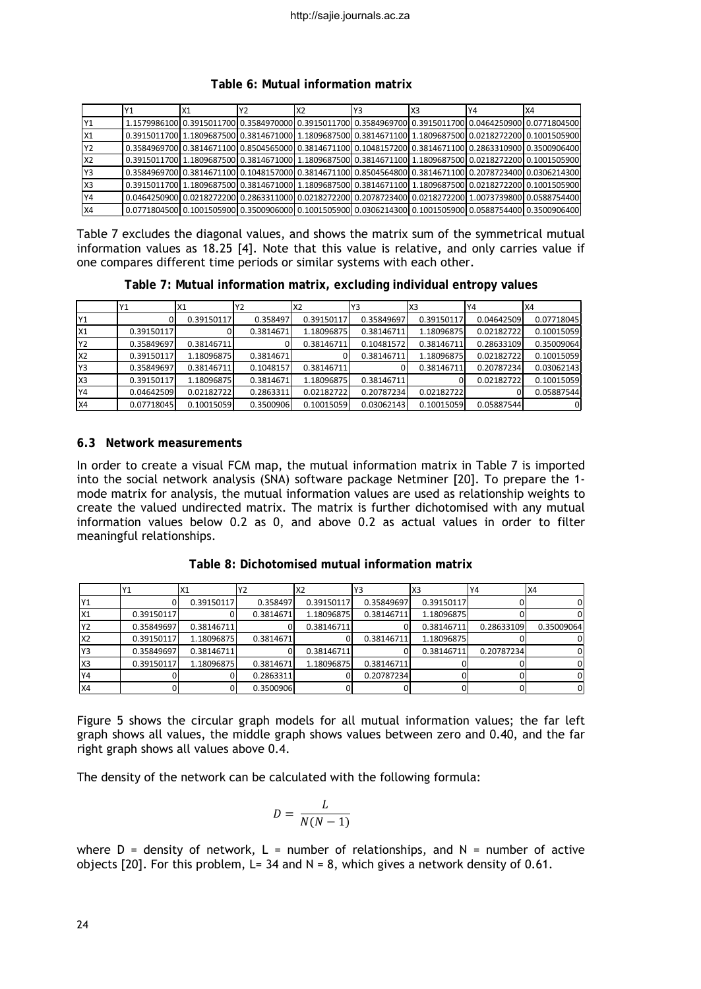| Table 6: Mutual information matrix |  |  |
|------------------------------------|--|--|
|------------------------------------|--|--|

|           | X <sub>1</sub> | Y <sub>2</sub> | X <sub>2</sub> | Y3 | X3 | Y4                                                                                                             | IX4                                                                                                     |
|-----------|----------------|----------------|----------------|----|----|----------------------------------------------------------------------------------------------------------------|---------------------------------------------------------------------------------------------------------|
|           |                |                |                |    |    | 1.1579986100 0.3915011700 0.3584970000 0.3915011700 0.3584969700 0.3915011700 0.0464250900 0.0771804500        |                                                                                                         |
| lx1       |                |                |                |    |    | 0.3915011700  1.1809687500  0.3814671000  1.1809687500  0.3814671100  1.1809687500  0.0218272200  0.1001505900 |                                                                                                         |
| IY2       |                |                |                |    |    | 0.3584969700 0.3814671100 0.8504565000 0.3814671100 0.1048157200 0.3814671100 0.2863310900 0.3500906400        |                                                                                                         |
| IX2       |                |                |                |    |    | 0.3915011700 1.1809687500 0.3814671000 1.1809687500 0.3814671100 1.1809687500 0.0218272200 0.1001505900        |                                                                                                         |
| Y3        |                |                |                |    |    | 0.3584969700 0.3814671100 0.1048157000 0.3814671100 0.8504564800 0.3814671100 0.2078723400 0.0306214300        |                                                                                                         |
| lx3       |                |                |                |    |    | 0.3915011700 1.1809687500 0.3814671000 1.1809687500 0.3814671100 1.1809687500 0.0218272200 0.1001505900        |                                                                                                         |
| Y4        |                |                |                |    |    | 0.0464250900 0.0218272200 0.2863311000 0.0218272200 0.2078723400 0.0218272200 1.0073739800 0.0588754400        |                                                                                                         |
| <b>X4</b> |                |                |                |    |    |                                                                                                                | 0.0771804500 0.1001505900 0.3500906000 0.1001505900 0.0306214300 0.1001505900 0.0588754400 0.3500906400 |

Table 7 excludes the diagonal values, and shows the matrix sum of the symmetrical mutual information values as 18.25 [4]. Note that this value is relative, and only carries value if one compares different time periods or similar systems with each other.

**Table 7: Mutual information matrix, excluding individual entropy values**

|                | Υ1         | X <sub>1</sub> | Y2        | X <sub>2</sub> | Y3         | X <sub>3</sub> | Y4         | IX4        |
|----------------|------------|----------------|-----------|----------------|------------|----------------|------------|------------|
| Y1             |            | 0.39150117     | 0.358497  | 0.39150117     | 0.35849697 | 0.39150117     | 0.04642509 | 0.07718045 |
| X1             | 0.39150117 |                | 0.3814671 | 1.18096875     | 0.38146711 | 1.18096875     | 0.02182722 | 0.10015059 |
| Y2             | 0.35849697 | 0.38146711     |           | 0.38146711     | 0.10481572 | 0.38146711     | 0.28633109 | 0.35009064 |
| X <sub>2</sub> | 0.39150117 | 1.18096875     | 0.3814671 |                | 0.38146711 | 1.18096875     | 0.02182722 | 0.10015059 |
| Y3             | 0.35849697 | 0.38146711     | 0.1048157 | 0.38146711     |            | 0.38146711     | 0.20787234 | 0.03062143 |
| X <sub>3</sub> | 0.39150117 | 1.18096875     | 0.3814671 | 1.18096875     | 0.38146711 |                | 0.02182722 | 0.10015059 |
| Y4             | 0.04642509 | 0.02182722     | 0.2863311 | 0.02182722     | 0.20787234 | 0.02182722     |            | 0.05887544 |
| <b>X4</b>      | 0.07718045 | 0.10015059     | 0.3500906 | 0.10015059     | 0.03062143 | 0.10015059     | 0.05887544 |            |

#### **6.3 Network measurements**

In order to create a visual FCM map, the mutual information matrix in Table 7 is imported into the social network analysis (SNA) software package Netminer [20]. To prepare the 1 mode matrix for analysis, the mutual information values are used as relationship weights to create the valued undirected matrix. The matrix is further dichotomised with any mutual information values below 0.2 as 0, and above 0.2 as actual values in order to filter meaningful relationships.

**Table 8: Dichotomised mutual information matrix**

|                | Υ1         | X1         | Υ2        | X <sub>2</sub> | Y3         | X <sub>3</sub> | Y4         | <b>X4</b>  |
|----------------|------------|------------|-----------|----------------|------------|----------------|------------|------------|
| Y1             |            | 0.39150117 | 0.358497  | 0.39150117     | 0.35849697 | 0.39150117     |            |            |
| X1             | 0.39150117 |            | 0.3814671 | 1.18096875     | 0.38146711 | 1.18096875     |            |            |
| Y2             | 0.35849697 | 0.38146711 |           | 0.38146711     |            | 0.38146711     | 0.28633109 | 0.35009064 |
| X <sub>2</sub> | 0.39150117 | 1.18096875 | 0.3814671 |                | 0.38146711 | 1.18096875     |            |            |
| Y3             | 0.35849697 | 0.38146711 |           | 0.38146711     |            | 0.38146711     | 0.20787234 |            |
| X <sub>3</sub> | 0.39150117 | 1.18096875 | 0.3814671 | 1.18096875     | 0.38146711 |                |            |            |
| Y4             |            |            | 0.2863311 |                | 0.20787234 |                |            |            |
| <b>X4</b>      |            |            | 0.3500906 |                |            |                |            | $\Omega$   |

Figure 5 shows the circular graph models for all mutual information values; the far left graph shows all values, the middle graph shows values between zero and 0.40, and the far right graph shows all values above 0.4.

The density of the network can be calculated with the following formula:

$$
D = \frac{L}{N(N-1)}
$$

where  $D =$  density of network,  $L =$  number of relationships, and  $N =$  number of active objects [20]. For this problem, L= 34 and  $N = 8$ , which gives a network density of 0.61.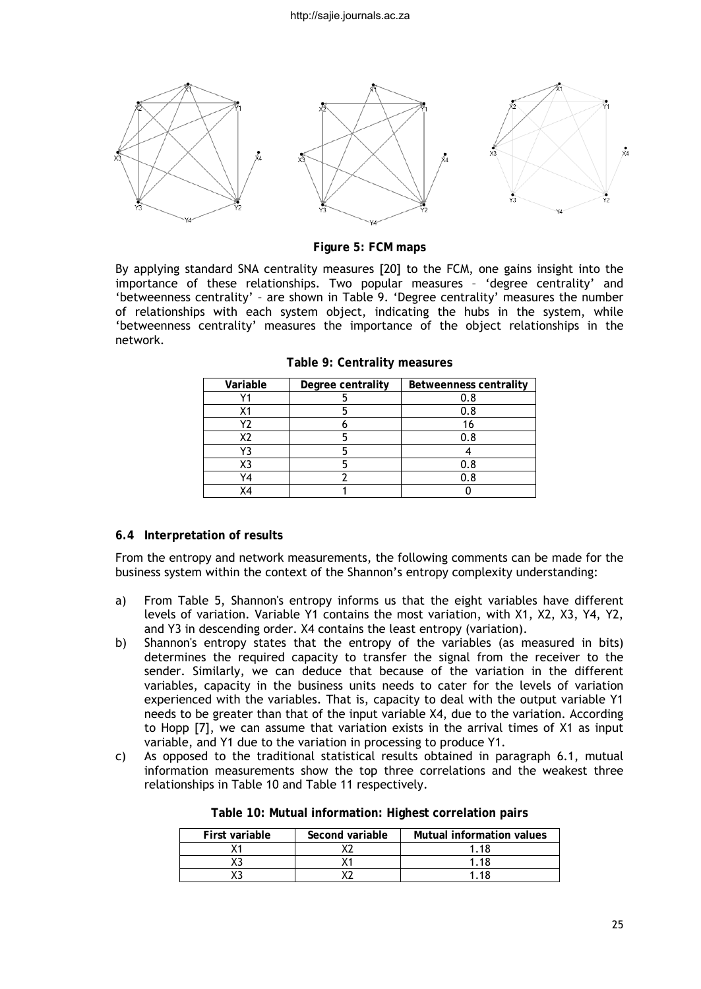

**Figure 5: FCM maps**

By applying standard SNA centrality measures [20] to the FCM, one gains insight into the importance of these relationships. Two popular measures – 'degree centrality' and 'betweenness centrality' – are shown in Table 9. 'Degree centrality' measures the number of relationships with each system object, indicating the hubs in the system, while 'betweenness centrality' measures the importance of the object relationships in the network.

| Variable | Degree centrality | <b>Betweenness centrality</b> |
|----------|-------------------|-------------------------------|
|          |                   |                               |
|          |                   | 0.8                           |
| Y7       |                   |                               |
| X2       |                   | 0.8                           |
| 73       |                   |                               |
| Х3       |                   | 0.8                           |
| '4       |                   | 0. 8                          |
| Х4       |                   |                               |

**Table 9: Centrality measures**

## **6.4 Interpretation of results**

From the entropy and network measurements, the following comments can be made for the business system within the context of the Shannon's entropy complexity understanding:

- a) From Table 5, Shannon's entropy informs us that the eight variables have different levels of variation. Variable Y1 contains the most variation, with X1, X2, X3, Y4, Y2, and Y3 in descending order. X4 contains the least entropy (variation).
- b) Shannon's entropy states that the entropy of the variables (as measured in bits) determines the required capacity to transfer the signal from the receiver to the sender. Similarly, we can deduce that because of the variation in the different variables, capacity in the business units needs to cater for the levels of variation experienced with the variables. That is, capacity to deal with the output variable Y1 needs to be greater than that of the input variable X4, due to the variation. According to Hopp [7], we can assume that variation exists in the arrival times of X1 as input variable, and Y1 due to the variation in processing to produce Y1.
- c) As opposed to the traditional statistical results obtained in paragraph 6.1, mutual information measurements show the top three correlations and the weakest three relationships in Table 10 and Table 11 respectively.

| First variable | Second variable | Mutual information values |
|----------------|-----------------|---------------------------|
|                |                 | 118                       |
|                |                 | - 19                      |
|                |                 | 118                       |

**Table 10: Mutual information: Highest correlation pairs**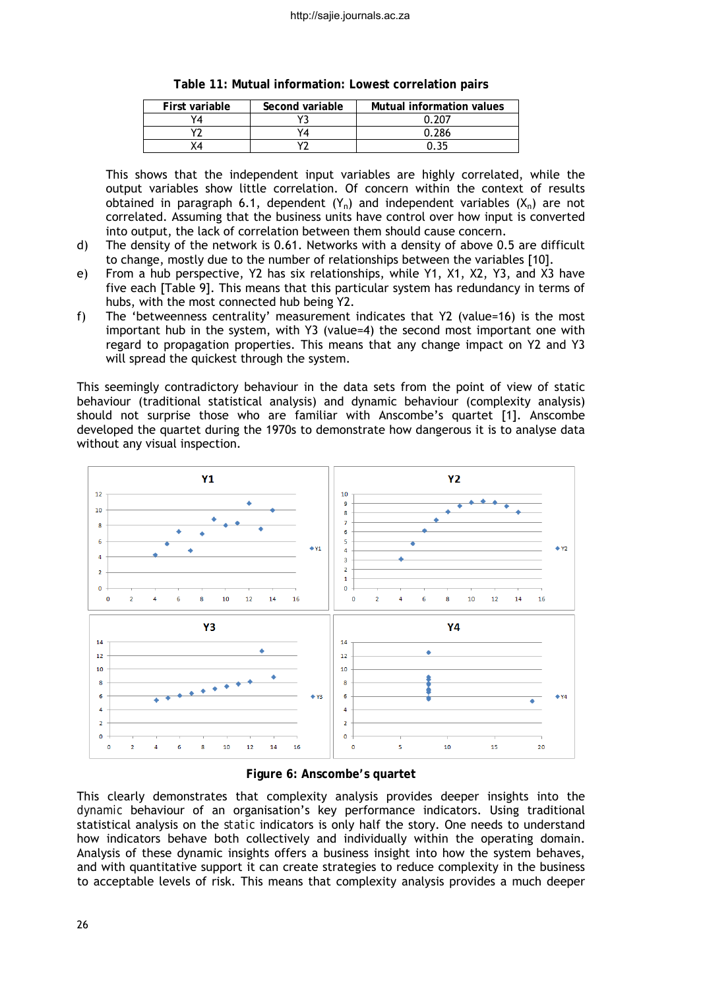| First variable | Second variable | Mutual information values |
|----------------|-----------------|---------------------------|
|                |                 | በ 207                     |
| $\sqrt{2}$     |                 | በ 286                     |
|                |                 |                           |

**Table 11: Mutual information: Lowest correlation pairs**

This shows that the independent input variables are highly correlated, while the output variables show little correlation. Of concern within the context of results obtained in paragraph 6.1, dependent  $(Y_n)$  and independent variables  $(X_n)$  are not correlated. Assuming that the business units have control over how input is converted into output, the lack of correlation between them should cause concern.

- d) The density of the network is 0.61. Networks with a density of above 0.5 are difficult to change, mostly due to the number of relationships between the variables [10].
- e) From a hub perspective, Y2 has six relationships, while Y1, X1, X2, Y3, and X3 have five each [Table 9]. This means that this particular system has redundancy in terms of hubs, with the most connected hub being Y2.
- f) The 'betweenness centrality' measurement indicates that Y2 (value=16) is the most important hub in the system, with Y3 (value=4) the second most important one with regard to propagation properties. This means that any change impact on Y2 and Y3 will spread the quickest through the system.

This seemingly contradictory behaviour in the data sets from the point of view of static behaviour (traditional statistical analysis) and dynamic behaviour (complexity analysis) should not surprise those who are familiar with Anscombe's quartet [1]. Anscombe developed the quartet during the 1970s to demonstrate how dangerous it is to analyse data without any visual inspection.



**Figure 6: Anscombe's quartet**

This clearly demonstrates that complexity analysis provides deeper insights into the *dynamic* behaviour of an organisation's key performance indicators. Using traditional statistical analysis on the *static* indicators is only half the story. One needs to understand how indicators behave both collectively and individually within the operating domain. Analysis of these dynamic insights offers a business insight into how the system behaves, and with quantitative support it can create strategies to reduce complexity in the business to acceptable levels of risk. This means that complexity analysis provides a much deeper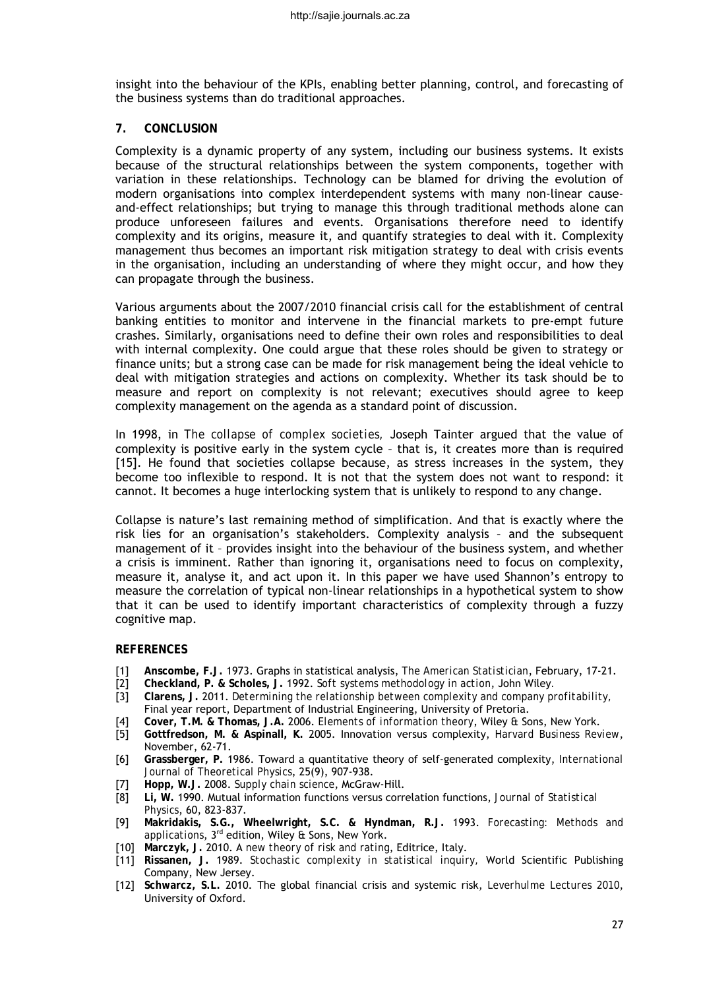insight into the behaviour of the KPIs, enabling better planning, control, and forecasting of the business systems than do traditional approaches.

#### **7. CONCLUSION**

Complexity is a dynamic property of any system, including our business systems. It exists because of the structural relationships between the system components, together with variation in these relationships. Technology can be blamed for driving the evolution of modern organisations into complex interdependent systems with many non-linear causeand-effect relationships; but trying to manage this through traditional methods alone can produce unforeseen failures and events. Organisations therefore need to identify complexity and its origins, measure it, and quantify strategies to deal with it. Complexity management thus becomes an important risk mitigation strategy to deal with crisis events in the organisation, including an understanding of where they might occur, and how they can propagate through the business.

Various arguments about the 2007/2010 financial crisis call for the establishment of central banking entities to monitor and intervene in the financial markets to pre-empt future crashes. Similarly, organisations need to define their own roles and responsibilities to deal with internal complexity. One could argue that these roles should be given to strategy or finance units; but a strong case can be made for risk management being the ideal vehicle to deal with mitigation strategies and actions on complexity. Whether its task should be to measure and report on complexity is not relevant; executives should agree to keep complexity management on the agenda as a standard point of discussion.

In 1998, in *The collapse of complex societies,* Joseph Tainter argued that the value of complexity is positive early in the system cycle – that is, it creates more than is required [15]. He found that societies collapse because, as stress increases in the system, they become too inflexible to respond. It is not that the system does not want to respond: it cannot. It becomes a huge interlocking system that is unlikely to respond to any change.

Collapse is nature's last remaining method of simplification. And that is exactly where the risk lies for an organisation's stakeholders. Complexity analysis – and the subsequent management of it – provides insight into the behaviour of the business system, and whether a crisis is imminent. Rather than ignoring it, organisations need to focus on complexity, measure it, analyse it, and act upon it. In this paper we have used Shannon's entropy to measure the correlation of typical non-linear relationships in a hypothetical system to show that it can be used to identify important characteristics of complexity through a fuzzy cognitive map.

#### **REFERENCES**

- [1] **Anscombe, F.J.** 1973. Graphs in statistical analysis, *The American Statistician*, February, 17-21.
- [2] **Checkland, P. & Scholes, J.** 1992. *Soft systems methodology in action*, John Wiley*.*
- [3] **Clarens, J.** 2011. *Determining the relationship between complexity and company profitability,* Final year report, Department of Industrial Engineering, University of Pretoria.
- [4] **Cover, T.M. & Thomas, J.A.** 2006. *Elements of information theory*, Wiley & Sons, New York.
- [5] **Gottfredson, M. & Aspinall, K.** 2005. Innovation versus complexity, *Harvard Business Review*, November, 62-71.
- [6] **Grassberger, P.** 1986. Toward a quantitative theory of self-generated complexity, *International Journal of Theoretical Physics*, 25(9), 907-938.
- [7] **Hopp, W.J.** 2008. *Supply chain science*, McGraw-Hill.
- [8] **Li, W.** 1990. Mutual information functions versus correlation functions, *Journal of Statistical Physics*, 60, 823-837.
- [9] **Makridakis, S.G., Wheelwright, S.C. & Hyndman, R.J.** 1993. *Forecasting: Methods and applications*, 3rd edition, Wiley & Sons, New York.
- [10] **Marczyk, J.** 2010. A *new theory of risk and rating*, Editrice, Italy.
- [11] **Rissanen, J.** 1989. *Stochastic complexity in statistical inquiry,* World Scientific Publishing Company, New Jersey.
- [12] **Schwarcz, S.L.** 2010. The global financial crisis and systemic risk, *Leverhulme Lectures 2010*, University of Oxford.